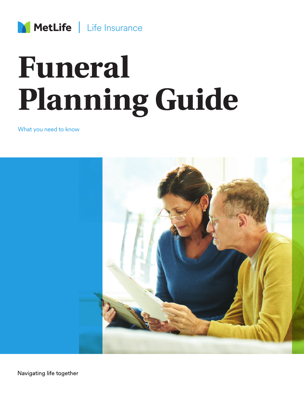

# **Funeral Planning Guide**

What you need to know



Navigating life together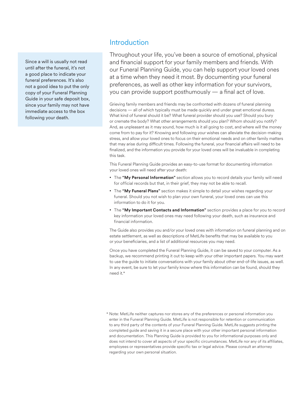Since a will is usually not read until after the funeral, it's not a good place to indicate your funeral preferences. It's also not a good idea to put the only copy of your Funeral Planning Guide in your safe deposit box, since your family may not have immediate access to the box following your death.

# **Introduction**

Throughout your life, you've been a source of emotional, physical and financial support for your family members and friends. With our Funeral Planning Guide, you can help support your loved ones at a time when they need it most. By documenting your funeral preferences, as well as other key information for your survivors, you can provide support posthumously — a final act of love.

Grieving family members and friends may be confronted with dozens of funeral planning decisions — all of which typically must be made quickly and under great emotional duress. What kind of funeral should it be? What funeral provider should you use? Should you bury or cremate the body? What other arrangements should you plan? Whom should you notify? And, as unpleasant as it may sound, how much is it all going to cost, and where will the money come from to pay for it? Knowing and following your wishes can alleviate the decision-making stress, and allow your loved ones to focus on their emotional needs and on other family matters that may arise during difficult times. Following the funeral, your financial affairs will need to be finalized, and the information you provide for your loved ones will be invaluable in completing this task.

This Funeral Planning Guide provides an easy-to-use format for documenting information your loved ones will need after your death:

- The **"My Personal Information"** section allows you to record details your family will need for official records but that, in their grief, they may not be able to recall.
- The **"My Funeral Plans"** section makes it simple to detail your wishes regarding your funeral. Should you not wish to plan your own funeral, your loved ones can use this information to do it for you.
- The **"My Important Contacts and Information"** section provides a place for you to record key information your loved ones may need following your death, such as insurance and financial information.

The Guide also provides you and/or your loved ones with information on funeral planning and on estate settlement, as well as descriptions of MetLife benefits that may be available to you or your beneficiaries, and a list of additional resources you may need.

Once you have completed the Funeral Planning Guide, it can be saved to your computer. As a backup, we recommend printing it out to keep with your other important papers. You may want to use the guide to initiate conversations with your family about other end-of-life issues, as well. In any event, be sure to let your family know where this information can be found, should they need it.\*

\* Note: MetLife neither captures nor stores any of the preferences or personal information you enter in the Funeral Planning Guide. MetLife is not responsible for retention or communication to any third party of the contents of your Funeral Planning Guide. MetLife suggests printing the completed guide and saving it in a secure place with your other important personal information and documentation. This Planning Guide is provided to you for informational purposes only and does not intend to cover all aspects of your specific circumstances. MetLife nor any of its affiliates, employees or representatives provide specific tax or legal advice. Please consult an attorney regarding your own personal situation.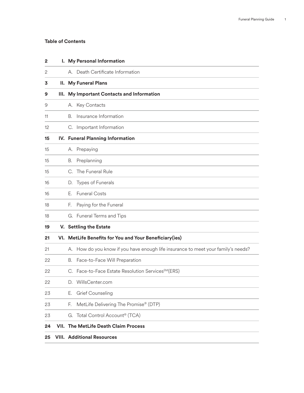# **Table of Contents**

| 2              |    | I. My Personal Information                                                        |
|----------------|----|-----------------------------------------------------------------------------------|
| $\overline{2}$ |    | A. Death Certificate Information                                                  |
| 3              |    | <b>II.</b> My Funeral Plans                                                       |
| 9              |    | III. My Important Contacts and Information                                        |
| 9              |    | A. Key Contacts                                                                   |
| 11             | В. | Insurance Information                                                             |
| 12             |    | C. Important Information                                                          |
| 15             |    | IV. Funeral Planning Information                                                  |
| 15             |    | A. Prepaying                                                                      |
| 15             | В. | Preplanning                                                                       |
| 15             |    | C. The Funeral Rule                                                               |
| 16             |    | D. Types of Funerals                                                              |
| 16             | F. | <b>Funeral Costs</b>                                                              |
| 18             | F. | Paying for the Funeral                                                            |
| 18             |    | G. Funeral Terms and Tips                                                         |
| 19             |    | V. Settling the Estate                                                            |
| 21             |    | VI. MetLife Benefits for You and Your Beneficiary(ies)                            |
| 21             |    | A. How do you know if you have enough life insurance to meet your family's needs? |
| 22             |    | B. Face-to-Face Will Preparation                                                  |
| 22             |    | C. Face-to-Face Estate Resolution ServicesSM(ERS)                                 |
| 22             | D. | WillsCenter.com                                                                   |
| 23             | Е. | Grief Counseling                                                                  |
| 23             | F. | MetLife Delivering The Promise® (DTP)                                             |
| 23             |    | G. Total Control Account <sup>®</sup> (TCA)                                       |
| 24             |    | <b>VII. The MetLife Death Claim Process</b>                                       |
| 25             |    | <b>VIII. Additional Resources</b>                                                 |
|                |    |                                                                                   |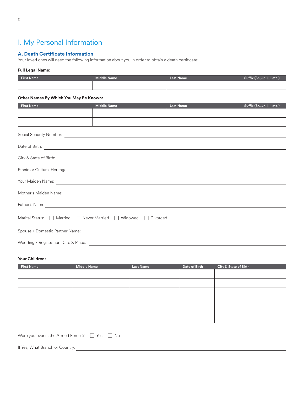# I. My Personal Information

# **A. Death Certificate Information**

Your loved ones will need the following information about you in order to obtain a death certificate:

# **Full Legal Name:**

|  | <b>Last Name</b> | Suffix (Sr., Jr., III, etc.) |
|--|------------------|------------------------------|
|  |                  |                              |
|  |                  |                              |

## **Other Names By Which You May Be Known:**

| <b>First Name</b>                                                                                                                                                                                                                   | <b>Middle Name</b> | <b>Last Name</b> | Suffix (Sr., Jr., III, etc.) |
|-------------------------------------------------------------------------------------------------------------------------------------------------------------------------------------------------------------------------------------|--------------------|------------------|------------------------------|
|                                                                                                                                                                                                                                     |                    |                  |                              |
|                                                                                                                                                                                                                                     |                    |                  |                              |
|                                                                                                                                                                                                                                     |                    |                  |                              |
| Date of Birth: <u>example and the contract of Birth:</u> example and the contract of Birth:                                                                                                                                         |                    |                  |                              |
| City & State of Birth: <u>All and State and State of Birth:</u> All and State and State and State of Birth:                                                                                                                         |                    |                  |                              |
|                                                                                                                                                                                                                                     |                    |                  |                              |
| Your Maiden Name: <u>Andrea American American Communication and Communication and Communication</u>                                                                                                                                 |                    |                  |                              |
|                                                                                                                                                                                                                                     |                    |                  |                              |
| Father's Name: <u>Communications</u> of the contract of the contract of the contract of the contract of the contract of the contract of the contract of the contract of the contract of the contract of the contract of the contrac |                    |                  |                              |
| Marital Status: Married Never Married Widowed Divorced                                                                                                                                                                              |                    |                  |                              |
|                                                                                                                                                                                                                                     |                    |                  |                              |
| Wedding / Registration Date & Place:                                                                                                                                                                                                |                    |                  |                              |

# **Your Children:**

| <b>First Name</b> | <b>Middle Name</b> | <b>Last Name</b> | Date of Birth | City & State of Birth |
|-------------------|--------------------|------------------|---------------|-----------------------|
|                   |                    |                  |               |                       |
|                   |                    |                  |               |                       |
|                   |                    |                  |               |                       |
|                   |                    |                  |               |                       |
|                   |                    |                  |               |                       |
|                   |                    |                  |               |                       |

| Were you ever in the Armed Forces?<br>U Yes   U No |  |  |
|----------------------------------------------------|--|--|
|                                                    |  |  |

If Yes, What Branch or Country: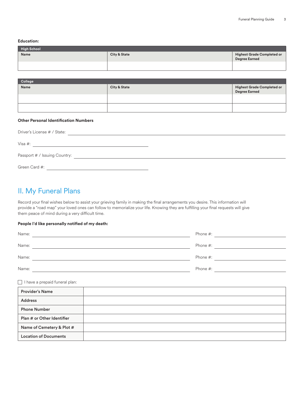**Education:**

| <b>High School</b> |                         |                                             |  |  |
|--------------------|-------------------------|---------------------------------------------|--|--|
| Name               | <b>City &amp; State</b> | Highest Grade Completed or<br>Degree Earned |  |  |
|                    |                         |                                             |  |  |

| College |                         |                                             |
|---------|-------------------------|---------------------------------------------|
| Name    | <b>City &amp; State</b> | Highest Grade Completed or<br>Degree Earned |
|         |                         |                                             |
|         |                         |                                             |

# **Other Personal Identification Numbers**

| Driver's License # / State:   |  |
|-------------------------------|--|
| Visa #:                       |  |
| Passport # / Issuing Country: |  |
| Green Card #:                 |  |

# II. My Funeral Plans

Record your final wishes below to assist your grieving family in making the final arrangements you desire. This information will provide a "road map" your loved ones can follow to memorialize your life. Knowing they are fulfilling your final requests will give them peace of mind during a very difficult time.

## **People I'd like personally notified of my death:**

| Name: | Phone #: |
|-------|----------|
| Name: | Phone #: |
| Name: | Phone #: |
| Name: | Phone #: |

 $\Box$  I have a prepaid funeral plan:

| <b>Provider's Name</b>       |  |
|------------------------------|--|
| <b>Address</b>               |  |
| <b>Phone Number</b>          |  |
| Plan # or Other Identifier   |  |
| Name of Cemetery & Plot #    |  |
| <b>Location of Documents</b> |  |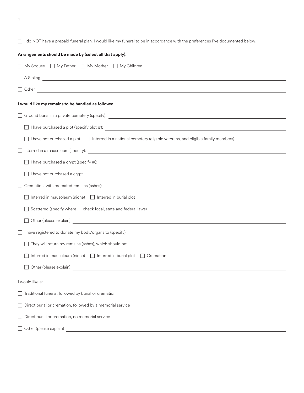4

I do NOT have a prepaid funeral plan. I would like my funeral to be in accordance with the preferences I've documented below:

| Arrangements should be made by (select all that apply):                                                                    |
|----------------------------------------------------------------------------------------------------------------------------|
| □ My Spouse □ My Father □ My Mother □ My Children                                                                          |
| $\Box$ A Sibling $\Box$                                                                                                    |
|                                                                                                                            |
| I would like my remains to be handled as follows:                                                                          |
|                                                                                                                            |
|                                                                                                                            |
| $\Box$ I have not purchased a plot $\Box$ Interred in a national cemetery (eligible veterans, and eligible family members) |
|                                                                                                                            |
| $\Box$ I have purchased a crypt (specify #): $\Box$                                                                        |
| $\Box$ I have not purchased a crypt                                                                                        |
| Cremation, with cremated remains (ashes):                                                                                  |
| $\Box$ Interred in mausoleum (niche) $\Box$ Interred in burial plot                                                        |
|                                                                                                                            |
|                                                                                                                            |
|                                                                                                                            |
| They will return my remains (ashes), which should be:                                                                      |
| Interred in mausoleum (niche) $\Box$ Interred in burial plot $\Box$ Cremation                                              |
| Other (please explain)<br><u>Discrete explain</u>                                                                          |
| I would like a:                                                                                                            |
| Traditional funeral, followed by burial or cremation                                                                       |
| $\Box$ Direct burial or cremation, followed by a memorial service                                                          |
| Direct burial or cremation, no memorial service                                                                            |
| Other (please explain)                                                                                                     |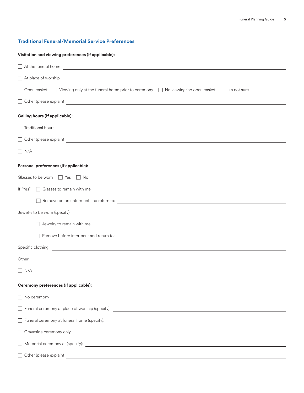# **Traditional Funeral/Memorial Service Preferences**

| Visitation and viewing preferences (if applicable):                                                                                                                                                                                  |
|--------------------------------------------------------------------------------------------------------------------------------------------------------------------------------------------------------------------------------------|
|                                                                                                                                                                                                                                      |
|                                                                                                                                                                                                                                      |
| □ Open casket □ Viewing only at the funeral home prior to ceremony □ No viewing/no open casket □ I'm not sure                                                                                                                        |
| Other (please explain)<br><u>Discrete explain</u>                                                                                                                                                                                    |
| Calling hours (if applicable):                                                                                                                                                                                                       |
| $\Box$ Traditional hours                                                                                                                                                                                                             |
| Other (please explain)<br><u>Discrete explain</u><br>Other (please explain)                                                                                                                                                          |
| $\Box$ N/A                                                                                                                                                                                                                           |
| Personal preferences (if applicable):                                                                                                                                                                                                |
| Glasses to be worn   Yes   No                                                                                                                                                                                                        |
| If "Yes"<br>$\Box$ Glasses to remain with me                                                                                                                                                                                         |
|                                                                                                                                                                                                                                      |
|                                                                                                                                                                                                                                      |
| Jewelry to remain with me                                                                                                                                                                                                            |
|                                                                                                                                                                                                                                      |
|                                                                                                                                                                                                                                      |
| <u> 1989 - Andrea Station Barbara, actor a component de la componentación de la componentación de la componentaci</u><br>Other:                                                                                                      |
| $\Box$ N/A                                                                                                                                                                                                                           |
| Ceremony preferences (if applicable):                                                                                                                                                                                                |
| No ceremony                                                                                                                                                                                                                          |
|                                                                                                                                                                                                                                      |
| Funeral ceremony at funeral home (specify): <b>contained a material contained a material contained a material contained a</b>                                                                                                        |
| □ Graveside ceremony only                                                                                                                                                                                                            |
|                                                                                                                                                                                                                                      |
| Other (please explain) <u>contract the contract of the contract of the contract of the contract of the contract of the contract of the contract of the contract of the contract of the contract of the contract of the contract </u> |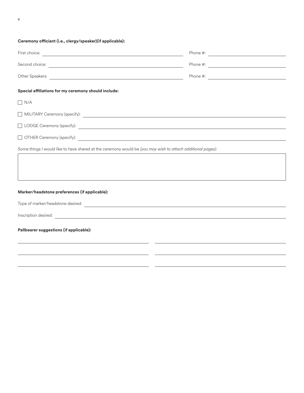# **Ceremony officiant (i.e., clergy/speaker)(if applicable):**

| Second choice: <u>with the contract of the contract of the contract of the contract of the contract of the contract of the contract of the contract of the contract of the contract of the contract of the contract of the contr</u> | Phone $\#$ : |
|--------------------------------------------------------------------------------------------------------------------------------------------------------------------------------------------------------------------------------------|--------------|
|                                                                                                                                                                                                                                      | Phone $\#$ : |
| Special affiliations for my ceremony should include:                                                                                                                                                                                 |              |
| $\Box$ N/A                                                                                                                                                                                                                           |              |
|                                                                                                                                                                                                                                      |              |
| □ LODGE Ceremony (specify): <u>△ Alexander Alexander Alexander Alexander Alexander Alexander Alexander Alexander Alexander Alexander Alexander Alexander Alexander Alexander Alexander Alexander Alexander Alexander Alexander </u>  |              |
|                                                                                                                                                                                                                                      |              |
| Some things I would like to have shared at the ceremony would be (you may wish to attach additional pages):                                                                                                                          |              |
|                                                                                                                                                                                                                                      |              |
|                                                                                                                                                                                                                                      |              |
|                                                                                                                                                                                                                                      |              |
| Marker/headstone preferences (if applicable):                                                                                                                                                                                        |              |
|                                                                                                                                                                                                                                      |              |
|                                                                                                                                                                                                                                      |              |
| Pallbearer suggestions (if applicable):                                                                                                                                                                                              |              |
|                                                                                                                                                                                                                                      |              |
|                                                                                                                                                                                                                                      |              |
|                                                                                                                                                                                                                                      |              |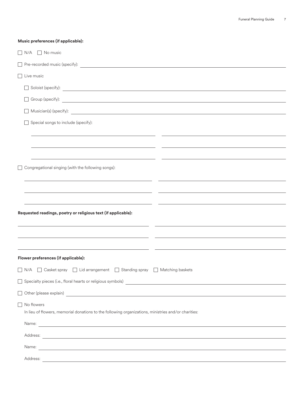| Music preferences (if applicable):                                                                                                                                                                                                                                                                                                                        |
|-----------------------------------------------------------------------------------------------------------------------------------------------------------------------------------------------------------------------------------------------------------------------------------------------------------------------------------------------------------|
| $\Box$ N/A $\Box$ No music                                                                                                                                                                                                                                                                                                                                |
|                                                                                                                                                                                                                                                                                                                                                           |
| $\Box$ Live music                                                                                                                                                                                                                                                                                                                                         |
| Soloist (specify):                                                                                                                                                                                                                                                                                                                                        |
|                                                                                                                                                                                                                                                                                                                                                           |
| Musician(s) (specify):                                                                                                                                                                                                                                                                                                                                    |
| Special songs to include (specify):                                                                                                                                                                                                                                                                                                                       |
|                                                                                                                                                                                                                                                                                                                                                           |
| Congregational singing (with the following songs):                                                                                                                                                                                                                                                                                                        |
|                                                                                                                                                                                                                                                                                                                                                           |
| <u> 1980 - Jan Barnett, fransk politik (d. 1980)</u>                                                                                                                                                                                                                                                                                                      |
| Requested readings, poetry or religious text (if applicable):                                                                                                                                                                                                                                                                                             |
|                                                                                                                                                                                                                                                                                                                                                           |
|                                                                                                                                                                                                                                                                                                                                                           |
| Flower preferences (if applicable):                                                                                                                                                                                                                                                                                                                       |
| □ N/A □ Casket spray □ Lid arrangement □ Standing spray □ Matching baskets                                                                                                                                                                                                                                                                                |
|                                                                                                                                                                                                                                                                                                                                                           |
|                                                                                                                                                                                                                                                                                                                                                           |
| No flowers<br>In lieu of flowers, memorial donations to the following organizations, ministries and/or charities:<br>Name: <u>example and the contract of the contract of the contract of the contract of the contract of the contract of the contract of the contract of the contract of the contract of the contract of the contract of the contrac</u> |
|                                                                                                                                                                                                                                                                                                                                                           |
| Name: <u>International Communication</u> of the communication of the communication of the communication of the communication of the communication of the communication of the communication of the communication of the communicati                                                                                                                       |
| Address:<br><u> 1989 - Johann Stoff, amerikansk politiker (d. 1989)</u>                                                                                                                                                                                                                                                                                   |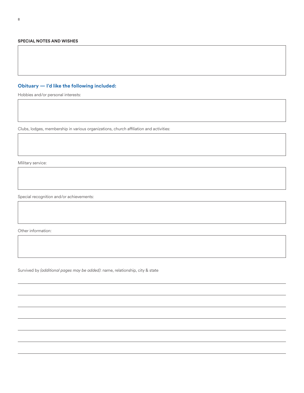#### **SPECIAL NOTES AND WISHES**

# **Obituary — I'd like the following included:**

Hobbies and/or personal interests:

Clubs, lodges, membership in various organizations, church affiliation and activities:

Military service:

Special recognition and/or achievements:

Other information:

Survived by *(additional pages may be added)*: name, relationship, city & state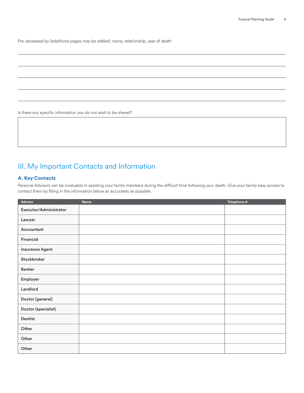Pre-deceased by *(additional pages may be added):* name, relationship, year of death

Is there any specific information you do not wish to be shared?

# III. My Important Contacts and Information

# **A. Key Contacts**

Personal Advisors can be invaluable in assisting your family members during the difficult time following your death. Give your family easy access to contact them by filling in the information below as accurately as possible.

| Advisor                | Name | Telephone # |
|------------------------|------|-------------|
| Executor/Administrator |      |             |
| Lawyer                 |      |             |
| Accountant             |      |             |
| Financial              |      |             |
| <b>Insurance Agent</b> |      |             |
| Stockbroker            |      |             |
| <b>Banker</b>          |      |             |
| Employer               |      |             |
| Landlord               |      |             |
| Doctor (general)       |      |             |
| Doctor (specialist)    |      |             |
| Dentist                |      |             |
| Other                  |      |             |
| Other                  |      |             |
| Other                  |      |             |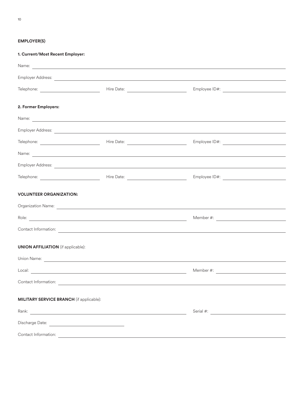# **EMPLOYER(S)**

**1. Current/Most Recent Employer:**

|                                                                                                                                                                                                                                      | Name: <u>contract and contract and contract and contract and contract and contract and contract and contract and contract and contract and contract and contract and contract and contract and contract and contract and contrac</u> |                                                                                                                                                                                                                                      |  |  |  |
|--------------------------------------------------------------------------------------------------------------------------------------------------------------------------------------------------------------------------------------|--------------------------------------------------------------------------------------------------------------------------------------------------------------------------------------------------------------------------------------|--------------------------------------------------------------------------------------------------------------------------------------------------------------------------------------------------------------------------------------|--|--|--|
|                                                                                                                                                                                                                                      |                                                                                                                                                                                                                                      |                                                                                                                                                                                                                                      |  |  |  |
|                                                                                                                                                                                                                                      |                                                                                                                                                                                                                                      |                                                                                                                                                                                                                                      |  |  |  |
| 2. Former Employers:                                                                                                                                                                                                                 |                                                                                                                                                                                                                                      |                                                                                                                                                                                                                                      |  |  |  |
|                                                                                                                                                                                                                                      | Name: <u>experimental</u> and the series of the series of the series of the series of the series of the series of the series of the series of the series of the series of the series of the series of the series of the series of t  |                                                                                                                                                                                                                                      |  |  |  |
|                                                                                                                                                                                                                                      |                                                                                                                                                                                                                                      |                                                                                                                                                                                                                                      |  |  |  |
|                                                                                                                                                                                                                                      |                                                                                                                                                                                                                                      |                                                                                                                                                                                                                                      |  |  |  |
|                                                                                                                                                                                                                                      |                                                                                                                                                                                                                                      | Name: <u>example and the contract of the contract of the contract of the contract of the contract of the contract of the contract of the contract of the contract of the contract of the contract of the contract of the contrac</u> |  |  |  |
|                                                                                                                                                                                                                                      |                                                                                                                                                                                                                                      |                                                                                                                                                                                                                                      |  |  |  |
|                                                                                                                                                                                                                                      |                                                                                                                                                                                                                                      |                                                                                                                                                                                                                                      |  |  |  |
| <b>VOLUNTEER ORGANIZATION:</b>                                                                                                                                                                                                       |                                                                                                                                                                                                                                      |                                                                                                                                                                                                                                      |  |  |  |
|                                                                                                                                                                                                                                      |                                                                                                                                                                                                                                      |                                                                                                                                                                                                                                      |  |  |  |
|                                                                                                                                                                                                                                      |                                                                                                                                                                                                                                      |                                                                                                                                                                                                                                      |  |  |  |
|                                                                                                                                                                                                                                      |                                                                                                                                                                                                                                      | Contact Information: <u>contact information:</u> contact in the contact of the contact information: contact information:                                                                                                             |  |  |  |
| <b>UNION AFFILIATION</b> (if applicable):                                                                                                                                                                                            |                                                                                                                                                                                                                                      |                                                                                                                                                                                                                                      |  |  |  |
|                                                                                                                                                                                                                                      |                                                                                                                                                                                                                                      |                                                                                                                                                                                                                                      |  |  |  |
|                                                                                                                                                                                                                                      |                                                                                                                                                                                                                                      |                                                                                                                                                                                                                                      |  |  |  |
| Contact Information:<br><u> 1980 - Antonio Alemania, prima postala de la contrada de la contrada de la contrada de la contrada de la con</u>                                                                                         |                                                                                                                                                                                                                                      |                                                                                                                                                                                                                                      |  |  |  |
| <b>MILITARY SERVICE BRANCH</b> (if applicable):                                                                                                                                                                                      |                                                                                                                                                                                                                                      |                                                                                                                                                                                                                                      |  |  |  |
|                                                                                                                                                                                                                                      |                                                                                                                                                                                                                                      |                                                                                                                                                                                                                                      |  |  |  |
| Discharge Date: <u>Discharge Observer</u>                                                                                                                                                                                            |                                                                                                                                                                                                                                      |                                                                                                                                                                                                                                      |  |  |  |
| Contact Information: <u>contact of the contact of the contact of the contact of the contact of the contact of the contact of the contact of the contact of the contact of the contact of the contact of the contact of the conta</u> |                                                                                                                                                                                                                                      |                                                                                                                                                                                                                                      |  |  |  |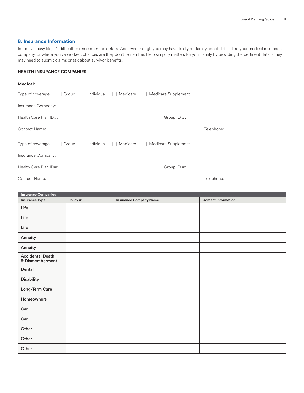# **B. Insurance Information**

In today's busy life, it's difficult to remember the details. And even though you may have told your family about details like your medical insurance company, or where you've worked, chances are they don't remember. Help simplify matters for your family by providing the pertinent details they may need to submit claims or ask about survivor benefits.

#### **HEALTH INSURANCE COMPANIES**

#### **Medical:**

|                       |                                                                                                 | Type of coverage: $\Box$ Group $\Box$ Individual $\Box$ Medicare $\Box$ Medicare Supplement |            |  |
|-----------------------|-------------------------------------------------------------------------------------------------|---------------------------------------------------------------------------------------------|------------|--|
|                       |                                                                                                 |                                                                                             |            |  |
| Health Care Plan ID#: | the contract of the contract of the contract of the contract of the contract of the contract of | Group $ID$ #:                                                                               |            |  |
| <b>Contact Name:</b>  |                                                                                                 |                                                                                             | Telephone: |  |
|                       |                                                                                                 | Type of coverage: $\Box$ Group $\Box$ Individual $\Box$ Medicare $\Box$ Medicare Supplement |            |  |
| Insurance Company:    |                                                                                                 |                                                                                             |            |  |
| Health Care Plan ID#: |                                                                                                 | Group $ID$ #:                                                                               |            |  |
| <b>Contact Name:</b>  |                                                                                                 |                                                                                             | Telephone: |  |

| <b>Insurance Companies</b>                 |          |                               |                            |
|--------------------------------------------|----------|-------------------------------|----------------------------|
| <b>Insurance Type</b>                      | Policy # | <b>Insurance Company Name</b> | <b>Contact Information</b> |
| Life                                       |          |                               |                            |
| Life                                       |          |                               |                            |
| Life                                       |          |                               |                            |
| Annuity                                    |          |                               |                            |
| Annuity                                    |          |                               |                            |
| <b>Accidental Death</b><br>& Dismemberment |          |                               |                            |
| Dental                                     |          |                               |                            |
| Disability                                 |          |                               |                            |
| Long-Term Care                             |          |                               |                            |
| Homeowners                                 |          |                               |                            |
| Car                                        |          |                               |                            |
| Car                                        |          |                               |                            |
| Other                                      |          |                               |                            |
| Other                                      |          |                               |                            |
| Other                                      |          |                               |                            |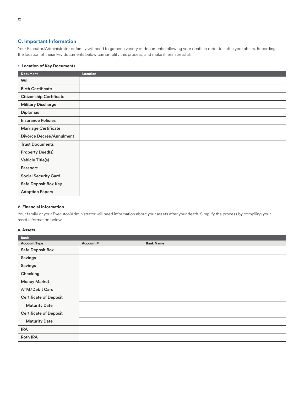# **C. Important Information**

Your Executor/Administrator or family will need to gather a variety of documents following your death in order to settle your affairs. Recording the location of these key documents below can simplify this process, and make it less stressful.

## **1. Location of Key Documents**

| <b>Document</b>                 | Location |
|---------------------------------|----------|
| Will                            |          |
| <b>Birth Certificate</b>        |          |
| <b>Citizenship Certificate</b>  |          |
| <b>Military Discharge</b>       |          |
| <b>Diplomas</b>                 |          |
| <b>Insurance Policies</b>       |          |
| Marriage Certificate            |          |
| <b>Divorce Decree/Annulment</b> |          |
| <b>Trust Documents</b>          |          |
| <b>Property Deed(s)</b>         |          |
| Vehicle Title(s)                |          |
| Passport                        |          |
| <b>Social Security Card</b>     |          |
| Safe Deposit Box Key            |          |
| <b>Adoption Papers</b>          |          |

#### **2. Financial Information**

Your family or your Executor/Administrator will need information about your assets after your death. Simplify the process by compiling your asset information below.

#### **a. Assets**

| <b>Bank</b>                   |          |                  |
|-------------------------------|----------|------------------|
| <b>Account Type</b>           | Account# | <b>Bank Name</b> |
| Safe Deposit Box              |          |                  |
| Savings                       |          |                  |
| Savings                       |          |                  |
| Checking                      |          |                  |
| <b>Money Market</b>           |          |                  |
| <b>ATM/Debit Card</b>         |          |                  |
| <b>Certificate of Deposit</b> |          |                  |
| <b>Maturity Date</b>          |          |                  |
| <b>Certificate of Deposit</b> |          |                  |
| <b>Maturity Date</b>          |          |                  |
| <b>IRA</b>                    |          |                  |
| <b>Roth IRA</b>               |          |                  |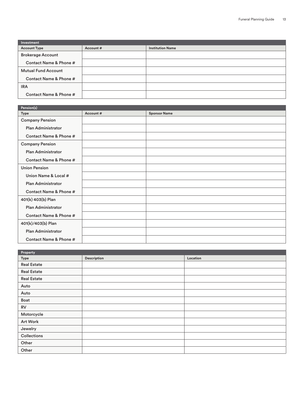| Investment                 |          |                         |  |
|----------------------------|----------|-------------------------|--|
| <b>Account Type</b>        | Account# | <b>Institution Name</b> |  |
| <b>Brokerage Account</b>   |          |                         |  |
| Contact Name & Phone #     |          |                         |  |
| <b>Mutual Fund Account</b> |          |                         |  |
| Contact Name & Phone #     |          |                         |  |
| <b>IRA</b>                 |          |                         |  |
| Contact Name & Phone #     |          |                         |  |

| Pension(s)                |          |                     |  |
|---------------------------|----------|---------------------|--|
| Type                      | Account# | <b>Sponsor Name</b> |  |
| <b>Company Pension</b>    |          |                     |  |
| <b>Plan Administrator</b> |          |                     |  |
| Contact Name & Phone #    |          |                     |  |
| <b>Company Pension</b>    |          |                     |  |
| <b>Plan Administrator</b> |          |                     |  |
| Contact Name & Phone #    |          |                     |  |
| <b>Union Pension</b>      |          |                     |  |
| Union Name & Local #      |          |                     |  |
| <b>Plan Administrator</b> |          |                     |  |
| Contact Name & Phone #    |          |                     |  |
| 401(k) 403(b) Plan        |          |                     |  |
| <b>Plan Administrator</b> |          |                     |  |
| Contact Name & Phone #    |          |                     |  |
| 401(k)/403(b) Plan        |          |                     |  |
| Plan Administrator        |          |                     |  |
| Contact Name & Phone #    |          |                     |  |

| Property           |             |          |
|--------------------|-------------|----------|
| Type               | Description | Location |
| <b>Real Estate</b> |             |          |
| <b>Real Estate</b> |             |          |
| <b>Real Estate</b> |             |          |
| Auto               |             |          |
| Auto               |             |          |
| Boat               |             |          |
| RV                 |             |          |
| Motorcycle         |             |          |
| Art Work           |             |          |
| Jewelry            |             |          |
| Collections        |             |          |
| Other              |             |          |
| Other              |             |          |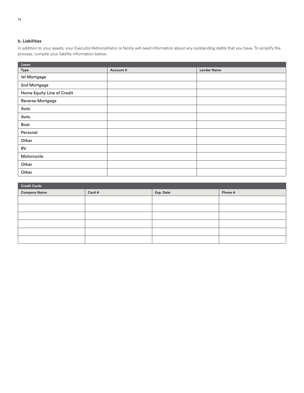# **b. Liabilities**

In addition to your assets, your Executor/Administrator or family will need information about any outstanding debts that you have. To simplify the process, compile your liability information below.

| Loans                      |          |                    |
|----------------------------|----------|--------------------|
| Type                       | Account# | <b>Lender Name</b> |
| 1st Mortgage               |          |                    |
| 2nd Mortgage               |          |                    |
| Home Equity Line of Credit |          |                    |
| Reverse Mortgage           |          |                    |
| Auto                       |          |                    |
| Auto                       |          |                    |
| Boat                       |          |                    |
| Personal                   |          |                    |
| Other                      |          |                    |
| <b>RV</b>                  |          |                    |
| Motorcycle                 |          |                    |
| Other                      |          |                    |
| Other                      |          |                    |

| <b>Credit Cards</b> |        |           |         |  |
|---------------------|--------|-----------|---------|--|
| Company Name        | Card # | Exp. Date | Phone # |  |
|                     |        |           |         |  |
|                     |        |           |         |  |
|                     |        |           |         |  |
|                     |        |           |         |  |
|                     |        |           |         |  |
|                     |        |           |         |  |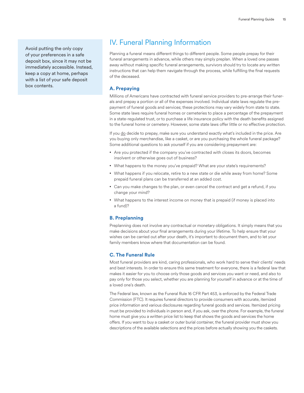Avoid putting the only copy of your preferences in a safe deposit box, since it may not be immediately accessible. Instead, keep a copy at home, perhaps with a list of your safe deposit box contents.

# IV. Funeral Planning Information

Planning a funeral means different things to different people. Some people prepay for their funeral arrangements in advance, while others may simply preplan. When a loved one passes away without making specific funeral arrangements, survivors should try to locate any written instructions that can help them navigate through the process, while fulfilling the final requests of the deceased.

# **A. Prepaying**

Millions of Americans have contracted with funeral service providers to pre-arrange their funerals and prepay a portion or all of the expenses involved. Individual state laws regulate the prepayment of funeral goods and services; these protections may vary widely from state to state. Some state laws require funeral homes or cemeteries to place a percentage of the prepayment in a state-regulated trust, or to purchase a life insurance policy with the death benefits assigned to the funeral home or cemetery. However, some state laws offer little or no effective protection.

If you do decide to prepay, make sure you understand exactly what's included in the price. Are you buying only merchandise, like a casket, or are you purchasing the whole funeral package? Some additional questions to ask yourself if you are considering prepayment are:

- Are you protected if the company you've contracted with closes its doors, becomes insolvent or otherwise goes out of business?
- What happens to the money you've prepaid? What are your state's requirements?
- What happens if you relocate, retire to a new state or die while away from home? Some prepaid funeral plans can be transferred at an added cost.
- Can you make changes to the plan, or even cancel the contract and get a refund, if you change your mind?
- What happens to the interest income on money that is prepaid (if money is placed into a fund)?

## **B. Preplanning**

Preplanning does not involve any contractual or monetary obligations. It simply means that you make decisions about your final arrangements during your lifetime. To help ensure that your wishes can be carried out after your death, it's important to document them, and to let your family members know where that documentation can be found.

## **C. The Funeral Rule**

Most funeral providers are kind, caring professionals, who work hard to serve their clients' needs and best interests. In order to ensure this same treatment for everyone, there is a federal law that makes it easier for you to choose only those goods and services you want or need, and also to pay only for those you select, whether you are planning for yourself in advance or at the time of a loved one's death.

The Federal law, known as the Funeral Rule 16 CFR Part 453, is enforced by the Federal Trade Commission (FTC). It requires funeral directors to provide consumers with accurate, itemized price information and various disclosures regarding funeral goods and services. Itemized pricing must be provided to individuals in person and, if you ask, over the phone. For example, the funeral home must give you a written price list to keep that shows the goods and services the home offers. If you want to buy a casket or outer burial container, the funeral provider must show you descriptions of the available selections and the prices before actually showing you the caskets.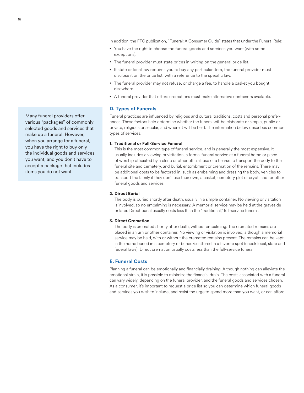In addition, the FTC publication, "Funeral: A Consumer Guide" states that under the Funeral Rule:

- You have the right to choose the funeral goods and services you want (with some exceptions).
- The funeral provider must state prices in writing on the general price list.
- If state or local law requires you to buy any particular item, the funeral provider must disclose it on the price list, with a reference to the specific law.
- The funeral provider may not refuse, or charge a fee, to handle a casket you bought elsewhere.
- A funeral provider that offers cremations must make alternative containers available.

# **D. Types of Funerals**

Funeral practices are influenced by religious and cultural traditions, costs and personal preferences. These factors help determine whether the funeral will be elaborate or simple, public or private, religious or secular, and where it will be held. The information below describes common types of services.

#### **1. Traditional or Full-Service Funeral**

This is the most common type of funeral service, and is generally the most expensive. It usually includes a viewing or visitation, a formal funeral service at a funeral home or place of worship officiated by a cleric or other official, use of a hearse to transport the body to the funeral site and cemetery, and burial, entombment or cremation of the remains. There may be additional costs to be factored in, such as embalming and dressing the body, vehicles to transport the family if they don't use their own, a casket, cemetery plot or crypt, and for other funeral goods and services.

#### **2. Direct Burial**

The body is buried shortly after death, usually in a simple container. No viewing or visitation is involved, so no embalming is necessary. A memorial service may be held at the graveside or later. Direct burial usually costs less than the "traditional," full-service funeral.

#### **3. Direct Cremation**

The body is cremated shortly after death, without embalming. The cremated remains are placed in an urn or other container. No viewing or visitation is involved, although a memorial service may be held, with or without the cremated remains present. The remains can be kept in the home buried in a cemetery or buried/scattered in a favorite spot (check local, state and federal laws). Direct cremation usually costs less than the full-service funeral.

## **E. Funeral Costs**

Planning a funeral can be emotionally and financially draining. Although nothing can alleviate the emotional strain, it is possible to minimize the financial drain. The costs associated with a funeral can vary widely, depending on the funeral provider, and the funeral goods and services chosen. As a consumer, it's important to request a price list so you can determine which funeral goods and services you wish to include, and resist the urge to spend more than you want, or can afford.

Many funeral providers offer various "packages" of commonly selected goods and services that make up a funeral. However, when you arrange for a funeral, you have the right to buy only the individual goods and services you want, and you don't have to accept a package that includes items you do not want.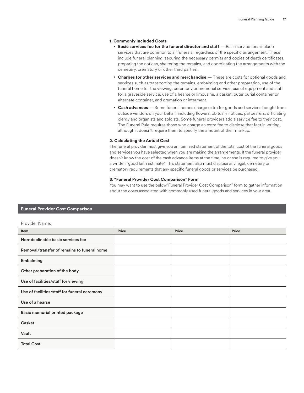#### **1. Commonly Included Costs**

- **Basic services fee for the funeral director and staff** Basic service fees include services that are common to all funerals, regardless of the specific arrangement. These include funeral planning, securing the necessary permits and copies of death certificates, preparing the notices, sheltering the remains, and coordinating the arrangements with the cemetery, crematory or other third parties.
- **Charges for other services and merchandise** These are costs for optional goods and services such as transporting the remains, embalming and other preparation, use of the funeral home for the viewing, ceremony or memorial service, use of equipment and staff for a graveside service, use of a hearse or limousine, a casket, outer burial container or alternate container, and cremation or interment.
- **Cash advances** Some funeral homes charge extra for goods and services bought from outside vendors on your behalf, including flowers, obituary notices, pallbearers, officiating clergy and organists and soloists. Some funeral providers add a service fee to their cost. The Funeral Rule requires those who charge an extra fee to disclose that fact in writing, although it doesn't require them to specify the amount of their markup.

#### **2. Calculating the Actual Cost**

The funeral provider must give you an itemized statement of the total cost of the funeral goods and services you have selected when you are making the arrangements. If the funeral provider doesn't know the cost of the cash advance items at the time, he or she is required to give you a written "good faith estimate." This statement also must disclose any legal, cemetery or crematory requirements that any specific funeral goods or services be purchased.

#### **3. "Funeral Provider Cost Comparison" Form**

You may want to use the below"Funeral Provider Cost Comparison" form to gather information about the costs associated with commonly used funeral goods and services in your area.

| <b>Funeral Provider Cost Comparison</b>      |       |       |       |  |
|----------------------------------------------|-------|-------|-------|--|
|                                              |       |       |       |  |
| Provider Name:                               |       |       |       |  |
| Item                                         | Price | Price | Price |  |
| Non-declinable basic services fee            |       |       |       |  |
| Removal/transfer of remains to funeral home  |       |       |       |  |
| Embalming                                    |       |       |       |  |
| Other preparation of the body                |       |       |       |  |
| Use of facilities/staff for viewing          |       |       |       |  |
| Use of facilities/staff for funeral ceremony |       |       |       |  |
| Use of a hearse                              |       |       |       |  |
| Basic memorial printed package               |       |       |       |  |
| Casket                                       |       |       |       |  |
| Vault                                        |       |       |       |  |
| <b>Total Cost</b>                            |       |       |       |  |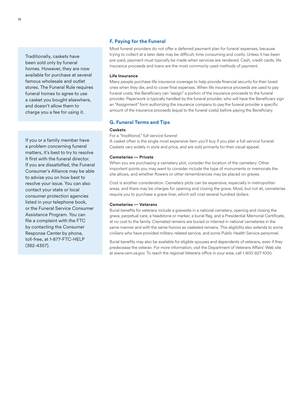Traditionally, caskets have been sold only by funeral homes. However, they are now available for purchase at several famous wholesale and outlet stores. The Funeral Rule requires funeral homes to agree to use a casket you bought elsewhere, and doesn't allow them to charge you a fee for using it.

If you or a family member have a problem concerning funeral matters, it's best to try to resolve it first with the funeral director. If you are dissatisfied, the Funeral Consumer's Alliance may be able to advise you on how best to resolve your issue. You can also contact your state or local consumer protection agencies listed in your telephone book, or the Funeral Service Consumer Assistance Program. You can file a complaint with the FTC by contacting the Consumer Response Center by phone, toll-free, at 1-877-FTC-HELP (382-4357).

## **F. Paying for the Funeral**

Most funeral providers do not offer a deferred payment plan for funeral expenses, because trying to collect at a later date may be difficult, time consuming and costly. Unless it has been pre-paid, payment must typically be made when services are rendered. Cash, credit cards, life insurance proceeds and loans are the most commonly used methods of payment.

#### **Life Insurance**

Many people purchase life insurance coverage to help provide financial security for their loved ones when they die, and to cover final expenses. When life insurance proceeds are used to pay funeral costs, the Beneficiary can "assign" a portion of the insurance proceeds to the funeral provider. Paperwork is typically handled by the funeral provider, who will have the Beneficiary sign an "Assignment" form authorizing the insurance company to pay the funeral provider a specific amount of the insurance proceeds (equal to the funeral costs) before paying the Beneficiary.

## **G. Funeral Terms and Tips**

#### **Caskets**

For a *"traditional," full-service funeral:*

A casket often is the single most expensive item you'll buy if you plan a full-service funeral. Caskets vary widely in style and price, and are sold primarily for their visual appeal.

#### **Cemeteries — Private**

When you are purchasing a cemetery plot, consider the location of the cemetery. Other important points you may want to consider include the type of monuments or memorials the site allows, and whether flowers or other remembrances may be placed on graves.

Cost is another consideration. Cemetery plots can be expensive, especially in metropolitan areas, and there may be charges for opening and closing the grave. Most, but not all, cemeteries require you to purchase a grave liner, which will cost several hundred dollars.

#### **Cemeteries — Veterans**

Burial benefits for veterans include a gravesite in a national cemetery, opening and closing the grave, perpetual care, a headstone or marker, a burial flag, and a Presidential Memorial Certificate, at no cost to the family. Cremated remains are buried or interred in national cemeteries in the same manner and with the same honors as casketed remains. This eligibility also extends to some civilians who have provided military-related service, and some Public Health Service personnel.

Burial benefits may also be available for eligible spouses and dependents of veterans, even if they predecease the veteran. For more information, visit the Department of Veterans Affairs' Web site at www.cem.va.gov. To reach the regional Veterans office in your area, call 1-800-827-1000.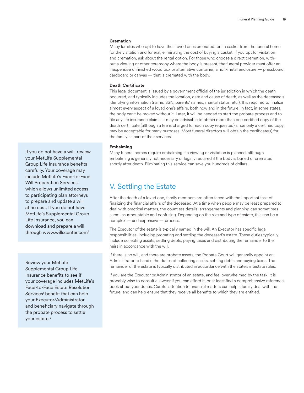#### **Cremation**

Many families who opt to have their loved ones cremated rent a casket from the funeral home for the visitation and funeral, eliminating the cost of buying a casket. If you opt for visitation and cremation, ask about the rental option. For those who choose a direct cremation, without a viewing or other ceremony where the body is present, the funeral provider must offer an inexpensive unfinished wood box or alternative container, a non-metal enclosure — pressboard, cardboard or canvas — that is cremated with the body.

#### **Death Certificate**

This legal document is issued by a government official of the jurisdiction in which the death occurred, and typically includes the location, date and cause of death, as well as the deceased's identifying information (name, SSN, parents' names, marital status, etc.). It is required to finalize almost every aspect of a loved one's affairs, both now and in the future. In fact, in some states, the body can't be moved without it. Later, it will be needed to start the probate process and to file any life insurance claims. It may be advisable to obtain more than one certified copy of the death certificate (although a fee is charged for each copy requested) since only a certified copy may be acceptable for many purposes. Most funeral directors will obtain the certificate(s) for the family as part of their services.

#### **Embalming**

Many funeral homes require embalming if a viewing or visitation is planned, although embalming is generally not necessary or legally required if the body is buried or cremated shortly after death. Eliminating this service can save you hundreds of dollars.

# V. Settling the Estate

After the death of a loved one, family members are often faced with the important task of finalizing the financial affairs of the deceased. At a time when people may be least prepared to deal with practical matters, the countless details, arrangements and planning can sometimes seem insurmountable and confusing. Depending on the size and type of estate, this can be a complex — and expensive — process.

The Executor of the estate is typically named in the will. An Executor has specific legal responsibilities, including probating and settling the deceased's estate. These duties typically include collecting assets, settling debts, paying taxes and distributing the remainder to the heirs in accordance with the will.

If there is no will, and there are probate assets, the Probate Court will generally appoint an Administrator to handle the duties of collecting assets, settling debts and paying taxes. The remainder of the estate is typically distributed in accordance with the state's intestate rules.

If you are the Executor or Administrator of an estate, and feel overwhelmed by the task, it is probably wise to consult a lawyer if you can afford it, or at least find a comprehensive reference book about your duties. Careful attention to financial matters can help a family deal with the future, and can help ensure that they receive all benefits to which they are entitled.

If you do not have a will, review your MetLife Supplemental Group Life Insurance benefits carefully. Your coverage may include MetLife's Face-to-Face Will Preparation Services<sup>1</sup> which allows unlimited access to participating plan attorneys to prepare and update a will at no cost. If you do not have MetLife's Supplemental Group Life Insurance, you can download and prepare a will through www.willscenter.com<sup>2</sup>

Review your MetLife Supplemental Group Life Insurance benefits to see if your coverage includes MetLife's Face-to-Face Estate Resolution Services<sup>1</sup> benefit that can help your Executor/Administrator and beneficiary navigate through the probate process to settle your estate.<sup>2</sup>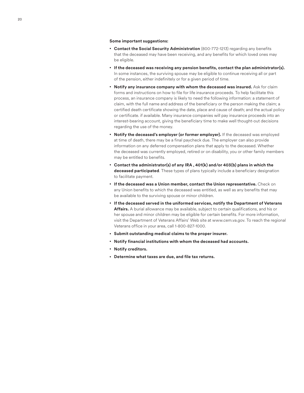#### **Some important suggestions:**

- **Contact the Social Security Administration** (800-772-1213) regarding any benefits that the deceased may have been receiving, and any benefits for which loved ones may be eligible.
- **If the deceased was receiving any pension benefits, contact the plan administrator(s).**  In some instances, the surviving spouse may be eligible to continue receiving all or part of the pension, either indefinitely or for a given period of time.
- **Notify any insurance company with whom the deceased was insured.** Ask for claim forms and instructions on how to file for life insurance proceeds. To help facilitate this process, an insurance company is likely to need the following information: a statement of claim, with the full name and address of the beneficiary or the person making the claim; a certified death certificate showing the date, place and cause of death; and the actual policy or certificate. if available. Many insurance companies will pay insurance proceeds into an interest-bearing account, giving the beneficiary time to make well thought-out decisions regarding the use of the money.
- **Notify the deceased's employer (or former employer).** If the deceased was employed at time of death, there may be a final paycheck due. The employer can also provide information on any deferred compensation plans that apply to the deceased. Whether the deceased was currently employed, retired or on disability, you or other family members may be entitled to benefits.
- **Contact the administrator(s) of any IRA , 401(k) and/or 403(b) plans in which the deceased participated**. These types of plans typically include a beneficiary designation to facilitate payment.
- **If the deceased was a Union member, contact the Union representative.** Check on any Union benefits to which the deceased was entitled, as well as any benefits that may be available to the surviving spouse or minor children.
- **If the deceased served in the uniformed services, notify the Department of Veterans Affairs.** A burial allowance may be available, subject to certain qualifications, and his or her spouse and minor children may be eligible for certain benefits. For more information, visit the Department of Veterans Affairs' Web site at www.cem.va.gov. To reach the regional Veterans office in your area, call 1-800-827-1000.
- **Submit outstanding medical claims to the proper insurer.**
- **Notify financial institutions with whom the deceased had accounts.**
- **Notify creditors.**
- **Determine what taxes are due, and file tax returns.**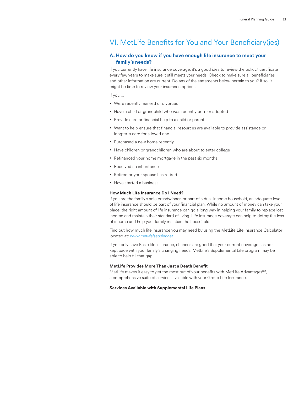# VI. MetLife Benefits for You and Your Beneficiary(ies)

# **A. How do you know if you have enough life insurance to meet your family's needs?**

If you currently have life insurance coverage, it's a good idea to review the policy/ certificate every few years to make sure it still meets your needs. Check to make sure all beneficiaries and other information are current. Do any of the statements below pertain to you? If so, it might be time to review your insurance options.

If you …

- Were recently married or divorced
- Have a child or grandchild who was recently born or adopted
- Provide care or financial help to a child or parent
- Want to help ensure that financial resources are available to provide assistance or longterm care for a loved one
- Purchased a new home recently
- Have children or grandchildren who are about to enter college
- Refinanced your home mortgage in the past six months
- Received an inheritance
- Retired or your spouse has retired
- Have started a business

#### **How Much Life Insurance Do I Need?**

If you are the family's sole breadwinner, or part of a dual-income household, an adequate level of life insurance should be part of your financial plan. While no amount of money can take your place, the right amount of life insurance can go a long way in helping your family to replace lost income and maintain their standard of living. Life insurance coverage can help to defray the loss of income and help your family maintain the household.

Find out how much life insurance you may need by using the MetLife Life Insurance Calculator located at: *www.metlifeiseasier.net*

If you only have Basic life insurance, chances are good that your current coverage has not kept pace with your family's changing needs. MetLife's Supplemental Life program may be able to help fill that gap.

#### **MetLife Provides More Than Just a Death Benefit**

MetLife makes it easy to get the most out of your benefits with MetLife Advantages<sup>SM</sup>, a comprehensive suite of services available with your Group Life Insurance.

#### **Services Available with Supplemental Life Plans**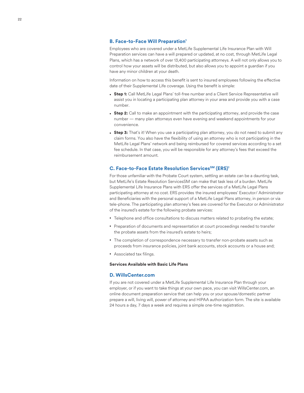#### **B. Face-to-Face Will Preparation<sup>1</sup>**

Employees who are covered under a MetLife Supplemental Life Insurance Plan with Will Preparation services can have a will prepared or updated, at no cost, through MetLife Legal Plans, which has a network of over 13,400 participating attorneys. A will not only allows you to control how your assets will be distributed, but also allows you to appoint a guardian if you have any minor children at your death.

Information on how to access this benefit is sent to insured employees following the effective date of their Supplemental Life coverage. Using the benefit is simple:

- **Step 1:** Call MetLife Legal Plans' toll-free number and a Client Service Representative will assist you in locating a participating plan attorney in your area and provide you with a case number.
- **Step 2:** Call to make an appointment with the participating attorney, and provide the case number — many plan attorneys even have evening and weekend appointments for your convenience.
- **Step 3:** That's it! When you use a participating plan attorney, you do not need to submit any claim forms. You also have the flexibility of using an attorney who is not participating in the MetLife Legal Plans' network and being reimbursed for covered services according to a set fee schedule. In that case, you will be responsible for any attorney's fees that exceed the reimbursement amount.

### **C. Face-to-Face Estate Resolution ServicesSM (ERS)<sup>1</sup>**

For those unfamiliar with the Probate Court system, settling an estate can be a daunting task, but MetLife's Estate Resolution ServicesSM can make that task less of a burden. MetLife Supplemental Life Insurance Plans with ERS offer the services of a MetLife Legal Plans participating attorney at no cost. ERS provides the insured employees' Executor/ Administrator and Beneficiaries with the personal support of a MetLife Legal Plans attorney, in person or via tele-phone. The participating plan attorney's fees are covered for the Executor or Administrator of the insured's estate for the following probate services:

- Telephone and office consultations to discuss matters related to probating the estate;
- Preparation of documents and representation at court proceedings needed to transfer the probate assets from the insured's estate to heirs;
- The completion of correspondence necessary to transfer non-probate assets such as proceeds from insurance policies, joint bank accounts, stock accounts or a house and;
- Associated tax filings.

#### **Services Available with Basic Life Plans**

#### **D. WillsCenter.com**

If you are not covered under a MetLife Supplemental Life Insurance Plan through your employer, or if you want to take things at your own pace, you can visit WillsCenter.com, an online document preparation service that can help you or your spouse/domestic partner prepare a will, living will, power of attorney and HIPAA authorization form. The site is available 24 hours a day, 7 days a week and requires a simple one-time registration.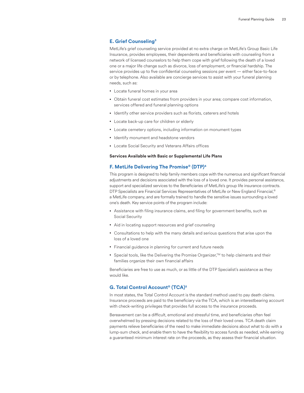## **E. Grief Counseling3**

MetLife's grief counseling service provided at no extra charge on MetLife's Group Basic Life Insurance, provides employees, their dependents and beneficiaries with counseling from a network of licensed counselors to help them cope with grief following the death of a loved one or a major life change such as divorce, loss of employment, or financial hardship. The service provides up to five confidential counseling sessions per event — either face-to-face or by telephone. Also available are concierge services to assist with your funeral planning needs, such as:

- Locate funeral homes in your area
- Obtain funeral cost estimates from providers in your area; compare cost information, services offered and funeral planning options
- Identify other service providers such as florists, caterers and hotels
- Locate back-up care for children or elderly
- Locate cemetery options, including information on monument types
- Identify monument and headstone vendors
- Locate Social Security and Veterans Affairs offices

#### **Services Available with Basic or Supplemental Life Plans**

#### **F. MetLife Delivering The Promise® (DTP)4**

This program is designed to help family members cope with the numerous and significant financial adjustments and decisions associated with the loss of a loved one. It provides personal assistance, support and specialized services to the Beneficiaries of MetLife's group life insurance contracts. DTP Specialists are Financial Services Representatives of MetLife or New England Financial,<sup>®</sup> a MetLife company, and are formally trained to handle the sensitive issues surrounding a loved one's death. Key service points of the program include:

- Assistance with filing insurance claims, and filing for government benefits, such as Social Security
- Aid in locating support resources and grief counseling
- Consultations to help with the many details and serious questions that arise upon the loss of a loved one
- Financial guidance in planning for current and future needs
- Special tools, like the Delivering the Promise Organizer,<sup>™</sup> to help claimants and their families organize their own financial affairs

Beneficiaries are free to use as much, or as little of the DTP Specialist's assistance as they would like.

#### **G. Total Control Account® (TCA)5**

In most states, the Total Control Account is the standard method used to pay death claims. Insurance proceeds are paid to the beneficiary via the TCA, which is an interestbearing account with check-writing privileges that provides full access to the insurance proceeds.

Bereavement can be a difficult, emotional and stressful time, and beneficiaries often feel overwhelmed by pressing decisions related to the loss of their loved ones. TCA death claim payments relieve beneficiaries of the need to make immediate decisions about what to do with a lump-sum check, and enable them to have the flexibility to access funds as needed, while earning a guaranteed minimum interest rate on the proceeds, as they assess their financial situation.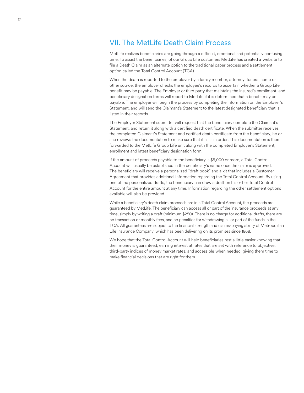# VII. The MetLife Death Claim Process

MetLife realizes beneficiaries are going through a difficult, emotional and potentially confusing time. To assist the beneficiaries, of our Group Life customers MetLife has created a website to file a Death Claim as an alternate option to the traditional paper process and a settlement option called the Total Control Account (TCA).

When the death is reported to the employer by a family member, attorney, funeral home or other source, the employer checks the employee's records to ascertain whether a Group Life benefit may be payable. The Employer or third party that maintains the insured's enrollment and beneficiary designation forms will report to MetLife if it is determined that a benefit may be payable. The employer will begin the process by completing the information on the Employer's Statement, and will send the Claimant's Statement to the latest designated beneficiary that is listed in their records.

The Employer Statement submitter will request that the beneficiary complete the Claimant's Statement, and return it along with a certified death certificate. When the submitter receives the completed Claimant's Statement and certified death certificate from the beneficiary, he or she reviews the documentation to make sure that it all is in order. This documentation is then forwarded to the MetLife Group Life unit along with the completed Employer's Statement, enrollment and latest beneficiary designation form.

If the amount of proceeds payable to the beneficiary is \$5,000 or more, a Total Control Account will usually be established in the beneficiary's name once the claim is approved. The beneficiary will receive a personalized "draft book" and a kit that includes a Customer Agreement that provides additional information regarding the Total Control Account. By using one of the personalized drafts, the beneficiary can draw a draft on his or her Total Control Account for the entire amount at any time. Information regarding the other settlement options available will also be provided.

While a beneficiary's death claim proceeds are in a Total Control Account, the proceeds are guaranteed by MetLife. The beneficiary can access all or part of the insurance proceeds at any time, simply by writing a draft (minimum \$250). There is no charge for additional drafts, there are no transaction or monthly fees, and no penalties for withdrawing all or part of the funds in the TCA. All guarantees are subject to the financial strength and claims-paying ability of Metropolitan Life Insurance Company, which has been delivering on its promises since 1868.

We hope that the Total Control Account will help beneficiaries rest a little easier knowing that their money is guaranteed, earning interest at rates that are set with reference to objective, third-party indices of money market rates, and accessible when needed, giving them time to make financial decisions that are right for them.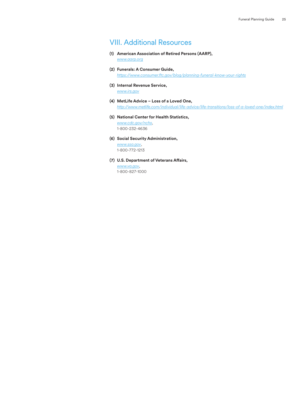# VIII. Additional Resources

- **(1) American Association of Retired Persons (AARP),** *www.aarp.org*
- **(2) Funerals: A Consumer Guide,** *https://www.consumer.ftc.gov/blog/planning-funeral-know-your-rights*
- **(3) Internal Revenue Service,** *www.irs.gov*
- **(4) MetLife Advice Loss of a Loved One,** *http://www.metlife.com/individual/life-advice/life-transitions/loss-of-a-loved-one/index.html*
- **(5) National Center for Health Statistics,**

*www.cdc.gov/nchs*, 1-800-232-4636

**(6) Social Security Administration,**

*www.ssa.gov*, 1-800-772-1213

**(7) U.S. Department of Veterans Affairs,**

*www.va.gov*, 1-800-827-1000